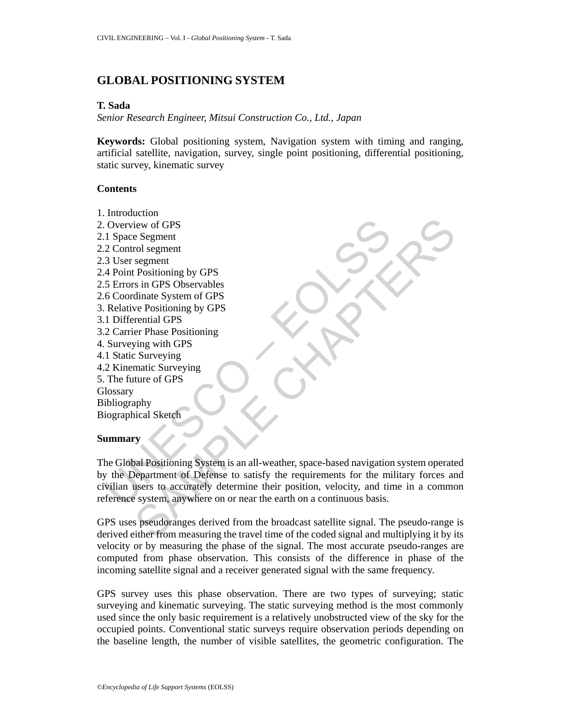# **GLOBAL POSITIONING SYSTEM**

# **T. Sada**

*Senior Research Engineer, Mitsui Construction Co., Ltd., Japan* 

**Keywords:** Global positioning system, Navigation system with timing and ranging, artificial satellite, navigation, survey, single point positioning, differential positioning, static survey, kinematic survey

# **Contents**

Overview of GPS<br>
2 Control segment<br>
2 Control segment<br>
3 User segment<br>
4 Point Positioning by GPS<br>
5 Errors in GPS Observables<br>
6 Coordinate System of GPS<br>
1. Differential GPS<br>
2 Carrier Phase Positioning<br>
2 Carrier Phase Experiment<br>
Segment<br>
Segment<br>
Segment<br>
Segment<br>
Segment<br>
Segment<br>
Segment<br>
Segment<br>
Segment<br>
Segment<br>
Segment<br>
Segment<br>
Segment<br>
Segment<br>
Segment<br>
Samply GPS<br>
Samply<br>
Samply<br>
Samply<br>
Samply<br>
Samply<br>
Samply<br>
Samply<br>
Samply<br> 1. Introduction 2. Overview of GPS 2.1 Space Segment 2.2 Control segment 2.3 User segment 2.4 Point Positioning by GPS 2.5 Errors in GPS Observables 2.6 Coordinate System of GPS 3. Relative Positioning by GPS 3.1 Differential GPS 3.2 Carrier Phase Positioning 4. Surveying with GPS 4.1 Static Surveying 4.2 Kinematic Surveying 5. The future of GPS Glossary Bibliography Biographical Sketch

# **Summary**

The Global Positioning System is an all-weather, space-based navigation system operated by the Department of Defense to satisfy the requirements for the military forces and civilian users to accurately determine their position, velocity, and time in a common reference system, anywhere on or near the earth on a continuous basis.

GPS uses pseudoranges derived from the broadcast satellite signal. The pseudo-range is derived either from measuring the travel time of the coded signal and multiplying it by its velocity or by measuring the phase of the signal. The most accurate pseudo-ranges are computed from phase observation. This consists of the difference in phase of the incoming satellite signal and a receiver generated signal with the same frequency.

GPS survey uses this phase observation. There are two types of surveying; static surveying and kinematic surveying. The static surveying method is the most commonly used since the only basic requirement is a relatively unobstructed view of the sky for the occupied points. Conventional static surveys require observation periods depending on the baseline length, the number of visible satellites, the geometric configuration. The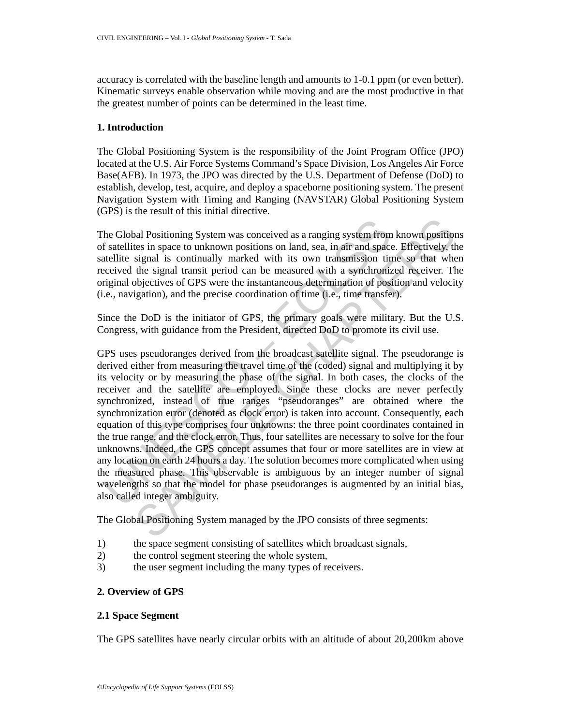accuracy is correlated with the baseline length and amounts to 1-0.1 ppm (or even better). Kinematic surveys enable observation while moving and are the most productive in that the greatest number of points can be determined in the least time.

### **1. Introduction**

The Global Positioning System is the responsibility of the Joint Program Office (JPO) located at the U.S. Air Force Systems Command's Space Division, Los Angeles Air Force Base(AFB). In 1973, the JPO was directed by the U.S. Department of Defense (DoD) to establish, develop, test, acquire, and deploy a spaceborne positioning system. The present Navigation System with Timing and Ranging (NAVSTAR) Global Positioning System (GPS) is the result of this initial directive.

The Global Positioning System was conceived as a ranging system from known positions of satellites in space to unknown positions on land, sea, in air and space. Effectively, the satellite signal is continually marked with its own transmission time so that when received the signal transit period can be measured with a synchronized receiver. The original objectives of GPS were the instantaneous determination of position and velocity (i.e., navigation), and the precise coordination of time (i.e., time transfer).

Since the DoD is the initiator of GPS, the primary goals were military. But the U.S. Congress, with guidance from the President, directed DoD to promote its civil use.

he Global Positioning System was conceived as a ranging system from<br>f satellites in space to unknown positions on land, sea, in air and space<br>tellite signal is continually marked with its own transmission tince<br>recived the by an Positioning System was conceived as a ranging system from known positionts in space to unknown positions on land, sea, in air and space. Effectively, the signal is continually marked with its own transmission time so GPS uses pseudoranges derived from the broadcast satellite signal. The pseudorange is derived either from measuring the travel time of the (coded) signal and multiplying it by its velocity or by measuring the phase of the signal. In both cases, the clocks of the receiver and the satellite are employed. Since these clocks are never perfectly synchronized, instead of true ranges "pseudoranges" are obtained where the synchronization error (denoted as clock error) is taken into account. Consequently, each equation of this type comprises four unknowns: the three point coordinates contained in the true range, and the clock error. Thus, four satellites are necessary to solve for the four unknowns. Indeed, the GPS concept assumes that four or more satellites are in view at any location on earth 24 hours a day. The solution becomes more complicated when using the measured phase. This observable is ambiguous by an integer number of signal wavelengths so that the model for phase pseudoranges is augmented by an initial bias, also called integer ambiguity.

The Global Positioning System managed by the JPO consists of three segments:

- 1) the space segment consisting of satellites which broadcast signals,
- 2) the control segment steering the whole system,
- 3) the user segment including the many types of receivers.

### **2. Overview of GPS**

#### **2.1 Space Segment**

The GPS satellites have nearly circular orbits with an altitude of about 20,200km above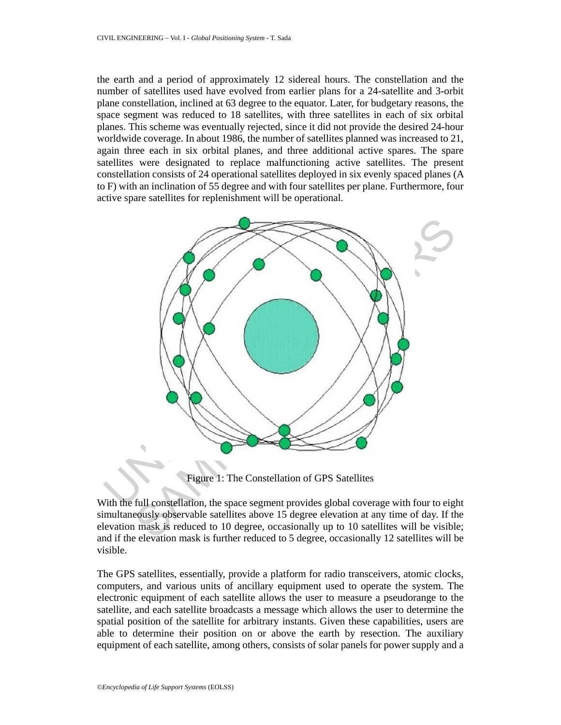the earth and a period of approximately 12 sidereal hours. The constellation and the number of satellites used have evolved from earlier plans for a 24-satellite and 3-orbit plane constellation, inclined at 63 degree to the equator. Later, for budgetary reasons, the space segment was reduced to 18 satellites, with three satellites in each of six orbital planes. This scheme was eventually rejected, since it did not provide the desired 24-hour worldwide coverage. In about 1986, the number of satellites planned was increased to 21, again three each in six orbital planes, and three additional active spares. The spare satellites were designated to replace malfunctioning active satellites. The present constellation consists of 24 operational satellites deployed in six evenly spaced planes (A to F) with an inclination of 55 degree and with four satellites per plane. Furthermore, four active spare satellites for replenishment will be operational.



Figure 1: The Constellation of GPS Satellites

With the full constellation, the space segment provides global coverage with four to eight simultaneously observable satellites above 15 degree elevation at any time of day. If the elevation mask is reduced to 10 degree, occasionally up to 10 satellites will be visible; and if the elevation mask is further reduced to 5 degree, occasionally 12 satellites will be visible.

The GPS satellites, essentially, provide a platform for radio transceivers, atomic clocks, computers, and various units of ancillary equipment used to operate the system. The electronic equipment of each satellite allows the user to measure a pseudorange to the satellite, and each satellite broadcasts a message which allows the user to determine the spatial position of the satellite for arbitrary instants. Given these capabilities, users are able to determine their position on or above the earth by resection. The auxiliary equipment of each satellite, among others, consists of solar panels for power supply and a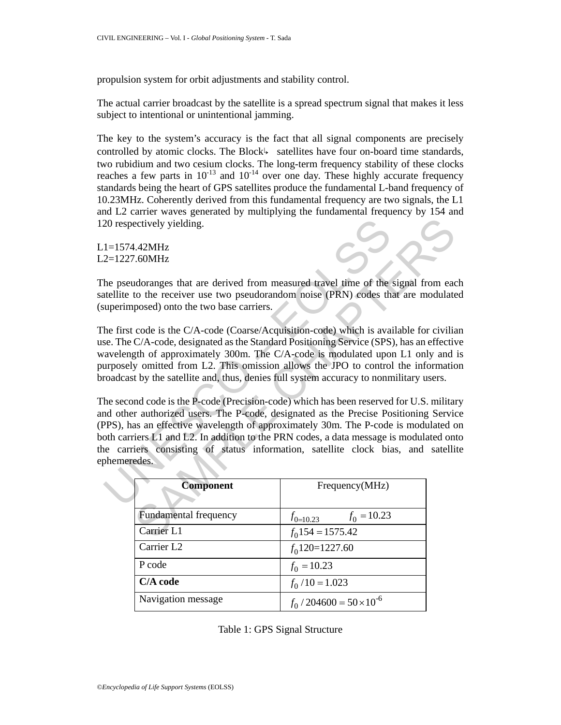propulsion system for orbit adjustments and stability control.

The actual carrier broadcast by the satellite is a spread spectrum signal that makes it less subject to intentional or unintentional jamming.

The key to the system's accuracy is the fact that all signal components are precisely controlled by atomic clocks. The Block $\overline{b}$  satellites have four on-board time standards, two rubidium and two cesium clocks. The long-term frequency stability of these clocks reaches a few parts in  $10^{-13}$  and  $10^{-14}$  over one day. These highly accurate frequency standards being the heart of GPS satellites produce the fundamental L-band frequency of 10.23MHz. Coherently derived from this fundamental frequency are two signals, the L1 and L2 carrier waves generated by multiplying the fundamental frequency by 154 and 120 respectively yielding.

L1=1574.42MHz L2=1227.60MHz

The pseudoranges that are derived from measured travel time of the signal from each satellite to the receiver use two pseudorandom noise (PRN) codes that are modulated (superimposed) onto the two base carriers.

The first code is the C/A-code (Coarse/Acquisition-code) which is available for civilian use. The C/A-code, designated as the Standard Positioning Service (SPS), has an effective wavelength of approximately 300m. The C/A-code is modulated upon L1 only and is purposely omitted from L2. This omission allows the JPO to control the information broadcast by the satellite and, thus, denies full system accuracy to nonmilitary users.

20 respectively yielding.<br>
1=1574.42MHz<br>
2=1227.60MHz<br>
he pseudoranges that are derived from measured travel time of the<br>
tatellite to the receiver use two pseudorandom noise (PRN) codes the<br>
uperimposed) onto the two base ectively yielding.<br>
4.2MHz<br>
4.0MHz<br>
4.0MHz<br>
1.60MHz<br>
1.60MHz<br>
1.60MHz<br>
1.60MHz<br>
1.60MHz<br>
1.60MHz<br>
1.60MHz<br>
1.60MHz<br>
1.60MHz<br>
1.60MHz<br>
1.60ME content and the Sumulation violec (PRN) codes that are modulated<br>
1.62A-code, de The second code is the P-code (Precision-code) which has been reserved for U.S. military and other authorized users. The P-code, designated as the Precise Positioning Service (PPS), has an effective wavelength of approximately 30m. The P-code is modulated on both carriers L1 and L2. In addition to the PRN codes, a data message is modulated onto the carriers consisting of status information, satellite clock bias, and satellite ephemeredes.

| <b>Component</b>       | Frequency(MHz)                   |  |
|------------------------|----------------------------------|--|
| Fundamental frequency  | $f_0 = 10.23$<br>$f_{0=10,23}$   |  |
| Carrier L1             | $f_0$ 154 = 1575.42              |  |
| Carrier L <sub>2</sub> | $f_0$ 120=1227.60                |  |
| P code                 | $f_0 = 10.23$                    |  |
| $C/A$ code             | $f_0/10 = 1.023$                 |  |
| Navigation message     | $f_0/204600 = 50 \times 10^{-6}$ |  |

|  |  |  | Table 1: GPS Signal Structure |
|--|--|--|-------------------------------|
|--|--|--|-------------------------------|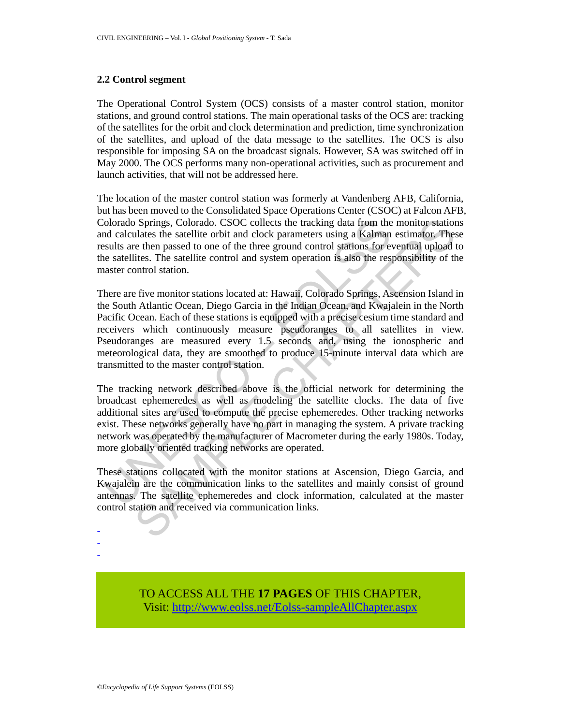### **2.2 Control segment**

The Operational Control System (OCS) consists of a master control station, monitor stations, and ground control stations. The main operational tasks of the OCS are: tracking of the satellites for the orbit and clock determination and prediction, time synchronization of the satellites, and upload of the data message to the satellites. The OCS is also responsible for imposing SA on the broadcast signals. However, SA was switched off in May 2000. The OCS performs many non-operational activities, such as procurement and launch activities, that will not be addressed here.

The location of the master control station was formerly at Vandenberg AFB, California, but has been moved to the Consolidated Space Operations Center (CSOC) at Falcon AFB, Colorado Springs, Colorado. CSOC collects the tracking data from the monitor stations and calculates the satellite orbit and clock parameters using a Kalman estimator. These results are then passed to one of the three ground control stations for eventual upload to the satellites. The satellite control and system operation is also the responsibility of the master control station.

folorado Springs, Colorado. CSOC collects the tracking data from the<br>dolcalates the satellite orbit and clock parameters using a Kalman<br>sulls are then passed to one of the three ground control stations for e<br>susting a fead Springs, Colorado. CSOC collects the tracking data from the monitor station<br>allates the satellite orbit and clock parameters using a Kalman estimator. These then passed to one of the three ground control stations for event There are five monitor stations located at: Hawaii, Colorado Springs, Ascension Island in the South Atlantic Ocean, Diego Garcia in the Indian Ocean, and Kwajalein in the North Pacific Ocean. Each of these stations is equipped with a precise cesium time standard and receivers which continuously measure pseudoranges to all satellites in view. Pseudoranges are measured every 1.5 seconds and, using the ionospheric and meteorological data, they are smoothed to produce 15-minute interval data which are transmitted to the master control station.

The tracking network described above is the official network for determining the broadcast ephemeredes as well as modeling the satellite clocks. The data of five additional sites are used to compute the precise ephemeredes. Other tracking networks exist. These networks generally have no part in managing the system. A private tracking network was operated by the manufacturer of Macrometer during the early 1980s. Today, more globally oriented tracking networks are operated.

These stations collocated with the monitor stations at Ascension, Diego Garcia, and Kwajalein are the communication links to the satellites and mainly consist of ground antennas. The satellite ephemeredes and clock information, calculated at the master control station and received via communication links.

- -

-

TO ACCESS ALL THE **17 PAGES** OF THIS CHAPTER, Visi[t: http://www.eolss.net/Eolss-sampleAllChapter.aspx](https://www.eolss.net/ebooklib/sc_cart.aspx?File=E6-37-02-02)